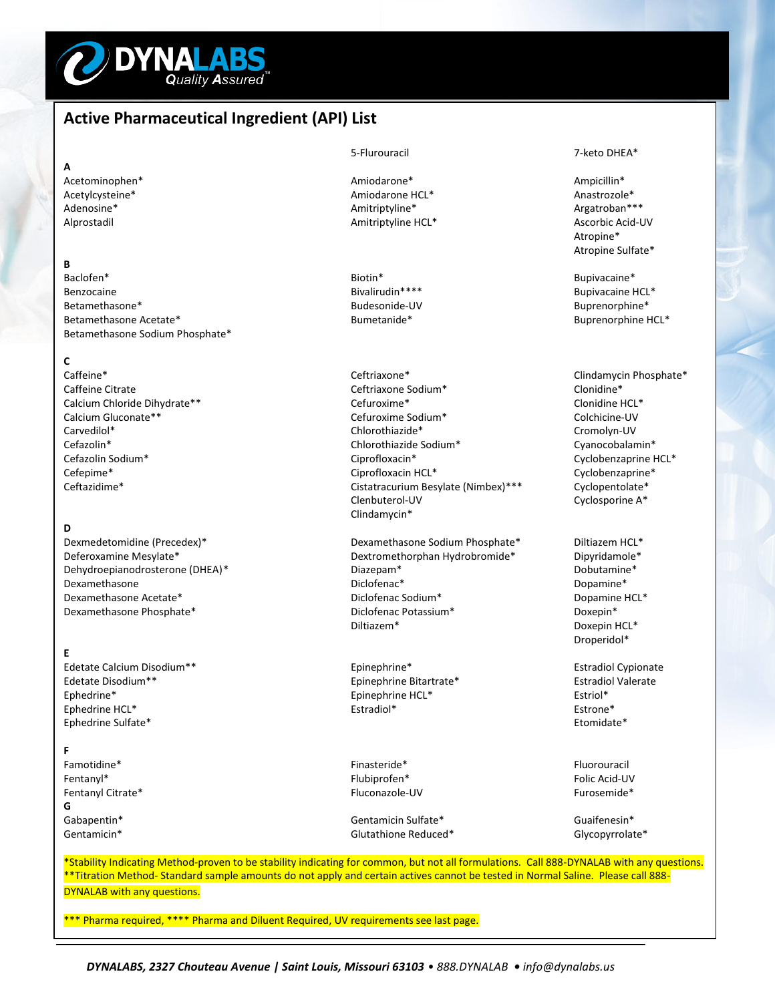

# **Active Pharmaceutical Ingredient (API) List**

### **A**

# **B**

Baclofen\* Biotin\* Bupivacaine\* Benzocaine Bivalirudin\*\*\*\* Bupivacaine HCL\* Betamethasone Acetate\* The Community of the Bumetanide\* Bumetanide\* Buprenorphine HCL\* Betamethasone Sodium Phosphate\*

**C**

# **D**

Dexmedetomidine (Precedex)\* The Communication of Dexamethasone Sodium Phosphate\* Diltiazem HCL\*

# **E**

Edetate Calcium Disodium<sup>\*\*</sup> The Calcium Disodium<sup>\*\*</sup> Estradiol Cypionate Edetate Disodium\*\* Epinephrine Bitartrate\* Estradiol Valerate Ephedrine\* Extriol\* Epinephrine HCL\* Estriol\* Estriol\* Estriol\* Estriol\* Estriol\* Estriol\* Estriol\* Estriol\* Estriol\* Estriol\* Estriol\* Estriol\* Estriol\* Estriol\* Estriol\* Estriol\* Estriol\* Estriol\* Estriol\* Estriol\* Estri Ephedrine HCL<sup>\*</sup> Estrone<sup>\*</sup> Estradiol<sup>\*</sup> Estradiol<sup>\*</sup> Estrone<sup>\*</sup> Estrone<sup>\*</sup> Estrone<sup>\*</sup> Estrone<sup>\*</sup> Estrone<sup>\*</sup> Ephedrine Sulfate\*

## **F**

Famotidine\* Famotidine Finasteride Finasteride Formulation of the Change of the Fluorouracil Fentanyl\* Flubiprofen\* Folic Acid-UV Fentanyl Citrate\* The Communication of the Communication of Fluconazole-UV Furosemide Furosemide\* **G** Gabapentin\* Gentamicin Sulfate\* Guaifenesin\* Gentamicin Sulfate\* Guaifenesin\* Guaifenesin\*

Acetominophen\* **Amiodarone** Amiodarone **Amiodarone Ampicillin** \* Ampicillin \* Acetylcysteine\* **Amiodarone HCL\*** Amiodarone HCL\* Anastrozole\* Anastrozole Anastrozole **Anastrozole** Anastrozole **Anastrozole** Anastrozole **Anastrozole** Anastrozole **Anastrozole** Anastrozole **Anastrozole** Anastrozole **Anas** Adenosine\* The Communication of the Amitriptyline\* Amitriptyline\* The Communication of the Argatroban\*\*\* Argatroban Alprostadil and Amitriptyline HCL\* Annual Ascorbic Acid-UV Ascorbic Acid-UV Annual American Ascorbic Acid-UV

Ceftriaxone\* Ceftriaxone Clindamycin Phosphate\* Caffeine Citrate Communication Ceftriaxone Sodium\* Clonidine\* Clonidine\* Clonidine\* Calcium Chloride Dihydrate\*\* Cefuroxime\* Clonidine HCL\* Calcium Gluconate\*\* Cefuroxime Sodium\* Colchicine-UV Carvedilol\* Chlorothiazide\* Cromolyn-UV Cefazolin\* Chlorothiazide Sodium\* Cyanocobalamin\* Cefazolin Sodium\* 
Cyclobenzaprine HCL\*

Cyclobenzaprine HCL\*
Cyclobenzaprine HCL\*
Cyclobenzaprine HCL\*
Cyclobenzaprine HCL\*
Cyclobenzaprine HCL\*
Cyclobenzaprine HCL\*
Cyclobenzaprine HCL\*
Cyclobenzaprine HCL\*
Cyclobenzapri Cefepime\* Cefepime\* Cefepime\* Cefepime\* Cefepime\* Cefepime\* Cefepime\* Cyclobenzaprine\* Ceftazidime\* Cyclobenzaprine Cyclobenzaprine Ceftazidime\* Ceftazidime \* Ceftazidime \* Ceftazidime \* Ceftazidime \* Cyclopentolate \* Cycl Ceftazidime\* Cistatracurium Besylate (Nimbex)\*\*\* Clenbuterol-UV Cyclosporine A\* Clindamycin\*

Deferoxamine Mesylate\* Dextromethorphan Hydrobromide\* Dipyridamole\* Dehydroepianodrosterone (DHEA)\* Diazepam\* Dobutamine\* Diclofenac<sup>\*</sup> Diclofenac<sup>\*</sup> Diclofenac<sup>\*</sup> Diclofenac<sup>\*</sup> Dopamine<sup>\*</sup> Dopamine<sup>\*</sup> Dexamethasone Acetate\* The Communication of the Diclofenac Sodium\* Diclofenac Sodium\* Dopamine HCL\* Dexamethasone Phosphate\* Diclofenac Potassium\* Doxepin\* Diltiazem\* Doxepin HCL\*

Gentamicin\* Glutathione Reduced\* Glutathione Reduced\* Glycopyrrolate\* Glycopyrrolate

### 5-Flurouracil 7-keto DHEA\*

Atropine\* Atropine Sulfate\*

Buprenorphine\*

Droperidol\*

\*Stability Indicating Method-proven to be stability indicating for common, but not all formulations. Call 888-DYNALAB with any questions. \*\*Titration Method- Standard sample amounts do not apply and certain actives cannot be tested in Normal Saline. Please call 888-DYNALAB with any questions.

\*\* Pharma required, \*\*\*\* Pharma and Diluent Required, UV requirements see last page.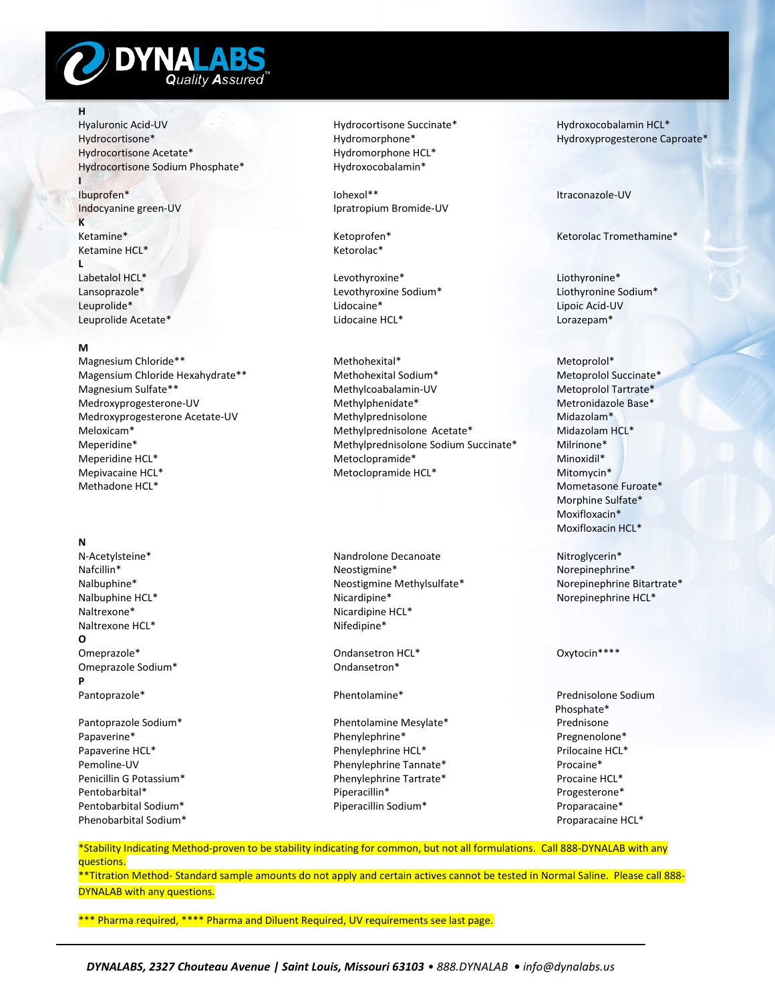

# **H**

**I**

Hyaluronic Acid-UV Hydrocortisone Succinate\* Hydroxocobalamin HCL\* Hydrocortisone\* Hydromorphone\* Hydroxyprogesterone Caproate\* Hydrocortisone Acetate\* Hydromorphone HCL\* Hydrocortisone Sodium Phosphate\* Hydroxocobalamin\*

**K** Ketamine\* Ketoprofen\* Ketorolac Tromethamine\* Ketamine HCL\* Ketorolac\*

L<br>Labetalol HCL<sup>\*</sup>

## **M**

Mepivacaine HCL\* Metoclopramide HCL\* Mitomycin\*

### **N**

Naltrexone\* Nicardipine HCL\* Nicardipine HCL\* National Microsoft Action Action Action Action Action Action Action Action Action Action Action Action Action Action Action Action Action Action Action Action Action Action Act Naltrexone HCL\* **O** Omeprazole\* Changes and Changes of Changes of Changes of Changes and Changes of Changes of Changes of Changes of Changes of Changes of Changes of Changes of Changes of Changes of Changes of Changes of Changes of Changes of Omeprazole Sodium\* Comeprazole Sodium\* Comeansetron\* Comeansetron\* **P** Pantoprazole\* Phentolamine\* Prednisolone Sodium

Phenobarbital Sodium\* Proparacaine HCL\*

Ibuprofen\* Iohexol\*\* Itraconazole-UV Indocyanine green-UV Indocyanine green-UV Ipratropium Bromide-UV

Levothyroxine\* Liothyronine\* Lansoprazole\* 
Levothyroxine Sodium\*

Levothyroxine Sodium\*

Levothyroxine Sodium\*

Levothyroxine Sodium\*

Levothyroxine Sodium\*

Levothyroxine Sodium\*

Levothyroxine Sodium\*

Levothyroxine Sodium\*

Levothyroxine Sodium\* Leuprolide\* Lidocaine\* Lipoic Acid-UV Leuprolide Acetate\* Lidocaine HCL\* Lorazepam\*

Magnesium Chloride\*\* 
Methohexital\*
Methohexital\*
Methohexital\*
Methohexital\*
Methohexital\*
Methohexital\*
Methohexital\*
Methohexital\*
Methohexital\*
Methohexital\*
Methohexital\*
Methohexital\*
Methohexital\*
Methohexital\*
Meth Magensium Chloride Hexahydrate\*\* Methohexital Sodium\* Methohexital Sodium Metoprolol Succinate\* Magnesium Sulfate\*\* The Methylcoabalamin-UV Methylcoabalamin-UV Metoprolol Tartrate\* Medroxyprogesterone-UV Methylphenidate\* Metronidazole Base\* Medroxyprogesterone Acetate-UV Methylprednisolone Methority Medroxyprogesterone Acetate-UV Methylprednisolone Meloxicam\* Methylprednisolone Acetate\* Midazolam HCL\* Meperidine\* Methylprednisolone Sodium Succinate\* Milrinone\* Meperidine HCL\* Metoclopramide\* Minoxidil\*

N-Acetylsteine\* Nandrolone Decanoate Nitroglycerin\* Neostigmine\* Neostigmine\* Norepinephrine\* Nalbuphine\* Neostigmine Methylsulfate\* Norepinephrine Bitartrate\* Nalbuphine HCL\* Nicardipine\* Nicardipine\* Norepinephrine HCL\*

Pantoprazole Sodium\* Phentolamine Mesylate\* Papaverine\* The pregnenolone and the phenylephrine and the phenylephrine and the pregnenolone and pregnenolone  $\ast$ Papaverine HCL\* Phenylephrine HCL\* Phenylephrine HCL\* Prilocaine HCL\* Pemoline-UV Phenylephrine Tannate\* Procaine\* Procaine\* Penicillin G Potassium\* Thenylephrine Tartrate\* Procaine HCL\* Procaine HCL\* Pentobarbital\* Piperacillin\* Piperacillin\* Progesterone\* Progesterone\* Pentobarbital Sodium\* Piperacillin Sodium\* Proparacaine\*

Mometasone Furoate\* Morphine Sulfate\* Moxifloxacin\* Moxifloxacin HCL\*

Phosphate\*

\*Stability Indicating Method-proven to be stability indicating for common, but not all formulations. Call 888-DYNALAB with any questions.

\*\*Titration Method- Standard sample amounts do not apply and certain actives cannot be tested in Normal Saline. Please call 888- DYNALAB with any questions.

\*\*\* Pharma required, \*\*\*\* Pharma and Diluent Required, UV requirements see last page.